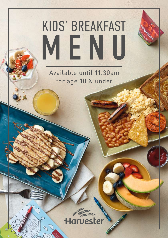# KIDS' BREAKFAST MENU

Available until 11.30am for age 10 & under

## Harvester

**Montage**